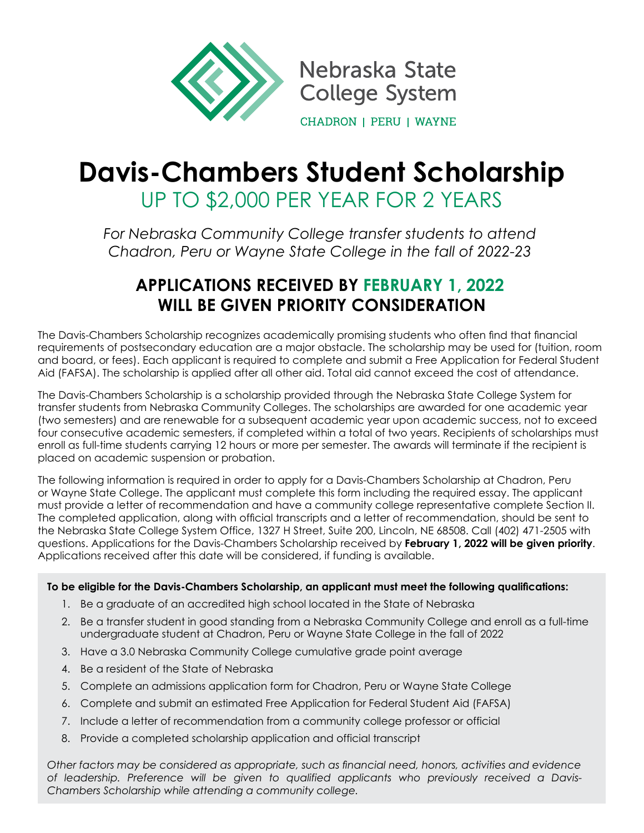

Nebraska State **College System CHADRON | PERU | WAYNE** 

# **Davis-Chambers Student Scholarship** UP TO \$2,000 PER YEAR FOR 2 YEARS

*For Nebraska Community College transfer students to attend Chadron, Peru or Wayne State College in the fall of 2022-23*

# **APPLICATIONS RECEIVED BY FEBRUARY 1, 2022 WILL BE GIVEN PRIORITY CONSIDERATION**

The Davis-Chambers Scholarship recognizes academically promising students who often find that financial requirements of postsecondary education are a major obstacle. The scholarship may be used for (tuition, room and board, or fees). Each applicant is required to complete and submit a Free Application for Federal Student Aid (FAFSA). The scholarship is applied after all other aid. Total aid cannot exceed the cost of attendance.

The Davis-Chambers Scholarship is a scholarship provided through the Nebraska State College System for transfer students from Nebraska Community Colleges. The scholarships are awarded for one academic year (two semesters) and are renewable for a subsequent academic year upon academic success, not to exceed four consecutive academic semesters, if completed within a total of two years. Recipients of scholarships must enroll as full-time students carrying 12 hours or more per semester. The awards will terminate if the recipient is placed on academic suspension or probation.

The following information is required in order to apply for a Davis-Chambers Scholarship at Chadron, Peru or Wayne State College. The applicant must complete this form including the required essay. The applicant must provide a letter of recommendation and have a community college representative complete Section II. The completed application, along with official transcripts and a letter of recommendation, should be sent to the Nebraska State College System Office, 1327 H Street, Suite 200, Lincoln, NE 68508. Call (402) 471-2505 with questions. Applications for the Davis-Chambers Scholarship received by **February 1, 2022 will be given priority**. Applications received after this date will be considered, if funding is available.

# **To be eligible for the Davis-Chambers Scholarship, an applicant must meet the following qualifications:**

- 1. Be a graduate of an accredited high school located in the State of Nebraska
- 2. Be a transfer student in good standing from a Nebraska Community College and enroll as a full-time undergraduate student at Chadron, Peru or Wayne State College in the fall of 2022
- 3. Have a 3.0 Nebraska Community College cumulative grade point average
- 4. Be a resident of the State of Nebraska
- 5. Complete an admissions application form for Chadron, Peru or Wayne State College
- 6. Complete and submit an estimated Free Application for Federal Student Aid (FAFSA)
- 7. Include a letter of recommendation from a community college professor or official
- 8. Provide a completed scholarship application and official transcript

*Other factors may be considered as appropriate, such as financial need, honors, activities and evidence of leadership. Preference will be given to qualified applicants who previously received a Davis-Chambers Scholarship while attending a community college.*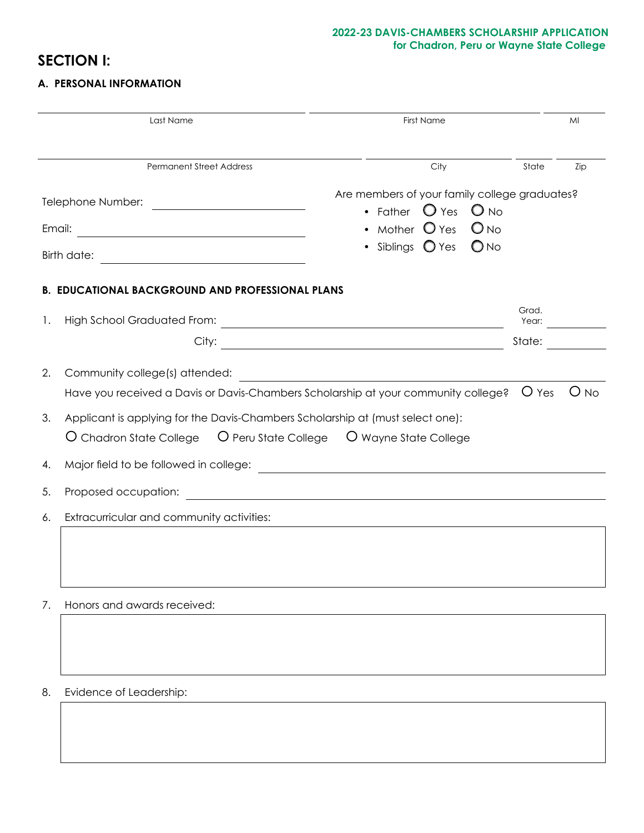## **2022-23 DAVIS-CHAMBERS SCHOLARSHIP APPLICATION for Chadron, Peru or Wayne State College**

# **SECTION I:**

# **A. PERSONAL INFORMATION**

|                                                                                                                                                                                                                                                                             | Last Name                                                                                                                     | <b>First Name</b>                                                                                                                                                       |                          | MI     |
|-----------------------------------------------------------------------------------------------------------------------------------------------------------------------------------------------------------------------------------------------------------------------------|-------------------------------------------------------------------------------------------------------------------------------|-------------------------------------------------------------------------------------------------------------------------------------------------------------------------|--------------------------|--------|
|                                                                                                                                                                                                                                                                             | <b>Permanent Street Address</b>                                                                                               | City                                                                                                                                                                    | State                    | Zip    |
| Telephone Number:<br><u> 1980 - Jan Barbara Barat, prima popula</u><br>Email:<br><u> 1980 - Johann Barbara, martxa alemaniar a</u><br>Birth date:<br><u> Alexandria (Carlo Carlo Carlo Carlo Carlo Carlo Carlo Carlo Carlo Carlo Carlo Carlo Carlo Carlo Carlo Carlo Ca</u> |                                                                                                                               | Are members of your family college graduates?<br>• Father $\bigcirc$ Yes<br>$O_{NQ}$<br>Mother $\bigcirc$ Yes<br>$O_{NQ}$<br>• Siblings $\bigcirc$ Yes<br>$\bigcirc$ No |                          |        |
| 1.                                                                                                                                                                                                                                                                          | <b>B. EDUCATIONAL BACKGROUND AND PROFESSIONAL PLANS</b>                                                                       |                                                                                                                                                                         | Grad.<br>Year:<br>State: |        |
| 2.                                                                                                                                                                                                                                                                          | Community college(s) attended:<br>Have you received a Davis or Davis-Chambers Scholarship at your community college?    U Yes | <u> 1989 - Johann Barn, amerikansk politiker (d. 1989)</u>                                                                                                              |                          | $O$ No |
| 3.                                                                                                                                                                                                                                                                          | Applicant is applying for the Davis-Chambers Scholarship at (must select one):                                                |                                                                                                                                                                         |                          |        |
| 4.                                                                                                                                                                                                                                                                          | Major field to be followed in college:                                                                                        |                                                                                                                                                                         |                          |        |
| 5.                                                                                                                                                                                                                                                                          | Proposed occupation:                                                                                                          | <u> 1980 - John Stein, mars and de Britain and de Britain and de Britain and de Britain and de Britain and de Br</u>                                                    |                          |        |
| 6.                                                                                                                                                                                                                                                                          | Extracurricular and community activities:                                                                                     |                                                                                                                                                                         |                          |        |
| 7.                                                                                                                                                                                                                                                                          | Honors and awards received:                                                                                                   |                                                                                                                                                                         |                          |        |
| 8.                                                                                                                                                                                                                                                                          | Evidence of Leadership:                                                                                                       |                                                                                                                                                                         |                          |        |